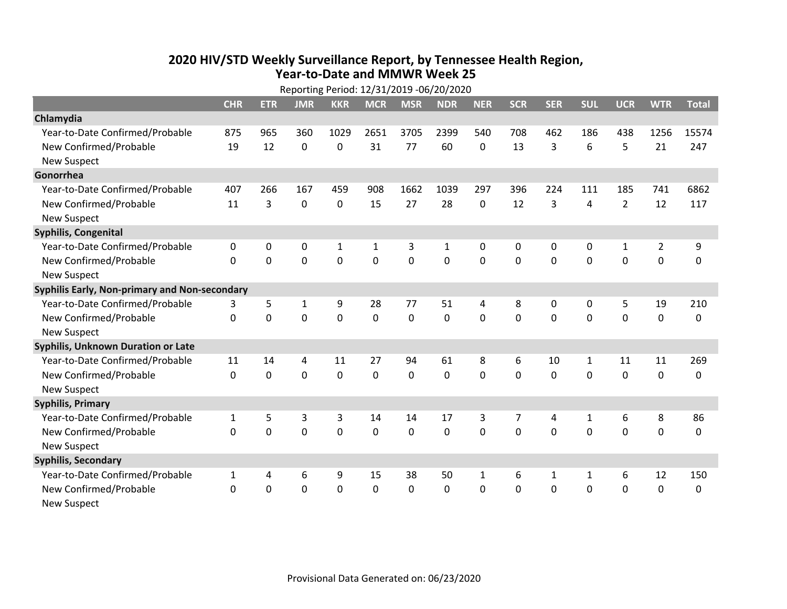## **2020 HIV /STD Weekly Surveillance Report, by Tennessee Health Region, Year‐to‐Date and MMWR Week 25** Reporting Period: 12/31/2019 ‐06/20/2020

|                                               | Reporting Period: 12/31/2019 -06/20/2020 |             |                |                |             |             |            |              |                |            |              |                |                |              |
|-----------------------------------------------|------------------------------------------|-------------|----------------|----------------|-------------|-------------|------------|--------------|----------------|------------|--------------|----------------|----------------|--------------|
|                                               | <b>CHR</b>                               | <b>ETR</b>  | <b>JMR</b>     | <b>KKR</b>     | <b>MCR</b>  | <b>MSR</b>  | <b>NDR</b> | <b>NER</b>   | <b>SCR</b>     | <b>SER</b> | <b>SUL</b>   | <b>UCR</b>     | <b>WTR</b>     | <b>Total</b> |
| Chlamydia                                     |                                          |             |                |                |             |             |            |              |                |            |              |                |                |              |
| Year-to-Date Confirmed/Probable               | 875                                      | 965         | 360            | 1029           | 2651        | 3705        | 2399       | 540          | 708            | 462        | 186          | 438            | 1256           | 15574        |
| New Confirmed/Probable                        | 19                                       | 12          | $\mathbf 0$    | 0              | 31          | 77          | 60         | 0            | 13             | 3          | 6            | 5              | 21             | 247          |
| <b>New Suspect</b>                            |                                          |             |                |                |             |             |            |              |                |            |              |                |                |              |
| Gonorrhea                                     |                                          |             |                |                |             |             |            |              |                |            |              |                |                |              |
| Year-to-Date Confirmed/Probable               | 407                                      | 266         | 167            | 459            | 908         | 1662        | 1039       | 297          | 396            | 224        | 111          | 185            | 741            | 6862         |
| New Confirmed/Probable                        | 11                                       | 3           | $\mathbf 0$    | $\mathbf 0$    | 15          | 27          | 28         | 0            | 12             | 3          | 4            | $\overline{2}$ | 12             | 117          |
| <b>New Suspect</b>                            |                                          |             |                |                |             |             |            |              |                |            |              |                |                |              |
| <b>Syphilis, Congenital</b>                   |                                          |             |                |                |             |             |            |              |                |            |              |                |                |              |
| Year-to-Date Confirmed/Probable               | 0                                        | 0           | 0              | $\mathbf{1}$   | 1           | 3           | 1          | 0            | 0              | 0          | 0            | $\mathbf{1}$   | $\overline{2}$ | 9            |
| New Confirmed/Probable                        | $\mathbf{0}$                             | $\mathbf 0$ | 0              | 0              | $\mathbf 0$ | $\mathbf 0$ | 0          | $\Omega$     | $\Omega$       | 0          | 0            | 0              | $\mathbf 0$    | 0            |
| <b>New Suspect</b>                            |                                          |             |                |                |             |             |            |              |                |            |              |                |                |              |
| Syphilis Early, Non-primary and Non-secondary |                                          |             |                |                |             |             |            |              |                |            |              |                |                |              |
| Year-to-Date Confirmed/Probable               | 3                                        | 5           | 1              | 9              | 28          | 77          | 51         | 4            | 8              | $\Omega$   | 0            | 5              | 19             | 210          |
| New Confirmed/Probable                        | 0                                        | 0           | $\overline{0}$ | $\overline{0}$ | $\mathbf 0$ | $\mathbf 0$ | 0          | $\Omega$     | $\Omega$       | $\Omega$   | 0            | $\mathbf 0$    | $\mathbf 0$    | 0            |
| <b>New Suspect</b>                            |                                          |             |                |                |             |             |            |              |                |            |              |                |                |              |
| <b>Syphilis, Unknown Duration or Late</b>     |                                          |             |                |                |             |             |            |              |                |            |              |                |                |              |
| Year-to-Date Confirmed/Probable               | 11                                       | 14          | 4              | 11             | 27          | 94          | 61         | 8            | 6              | 10         | 1            | 11             | 11             | 269          |
| New Confirmed/Probable                        | 0                                        | $\mathbf 0$ | $\overline{0}$ | 0              | $\mathbf 0$ | $\mathbf 0$ | $\Omega$   | $\Omega$     | $\Omega$       | $\Omega$   | $\Omega$     | $\mathbf 0$    | $\mathbf 0$    | 0            |
| <b>New Suspect</b>                            |                                          |             |                |                |             |             |            |              |                |            |              |                |                |              |
| <b>Syphilis, Primary</b>                      |                                          |             |                |                |             |             |            |              |                |            |              |                |                |              |
| Year-to-Date Confirmed/Probable               | $\mathbf{1}$                             | 5           | 3              | 3              | 14          | 14          | 17         | 3            | $\overline{7}$ | 4          | $\mathbf{1}$ | 6              | 8              | 86           |
| New Confirmed/Probable                        | $\Omega$                                 | 0           | 0              | $\overline{0}$ | $\mathbf 0$ | $\mathbf 0$ | 0          | $\Omega$     | $\Omega$       | $\Omega$   | $\Omega$     | $\mathbf 0$    | $\mathbf 0$    | $\mathbf 0$  |
| <b>New Suspect</b>                            |                                          |             |                |                |             |             |            |              |                |            |              |                |                |              |
| <b>Syphilis, Secondary</b>                    |                                          |             |                |                |             |             |            |              |                |            |              |                |                |              |
| Year-to-Date Confirmed/Probable               | $\mathbf{1}$                             | 4           | 6              | 9              | 15          | 38          | 50         | $\mathbf{1}$ | 6              | 1          | 1            | 6              | 12             | 150          |
| New Confirmed/Probable                        | 0                                        | 0           | 0              | 0              | $\mathbf 0$ | 0           | 0          | $\mathbf 0$  | $\Omega$       | 0          | 0            | $\mathbf 0$    | $\mathbf 0$    | 0            |
| <b>New Suspect</b>                            |                                          |             |                |                |             |             |            |              |                |            |              |                |                |              |